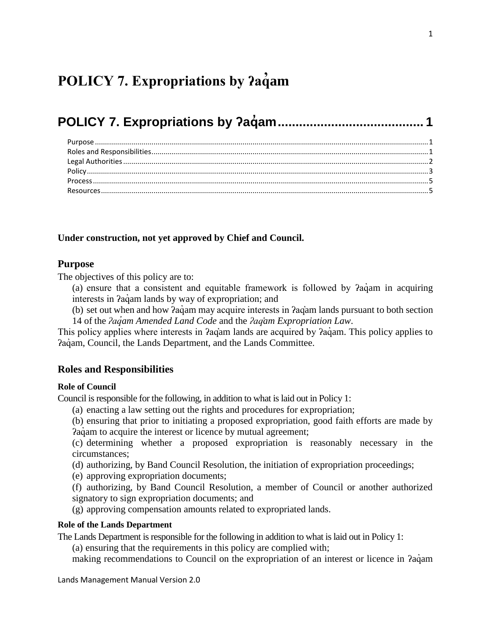### <span id="page-0-0"></span>**POLICY 7. Expropriations by ʔaq am ̓**

#### **[POLICY 7. Expropriations by ʔaq](#page-0-0) am......................................... 1 ̓**

## **Under construction, not yet approved by Chief and Council.**

### <span id="page-0-1"></span>**Purpose**

The objectives of this policy are to:

(a) ensure that a consistent and equitable framework is followed by  $aq$  and in acquiring interests in *Pac*<sub>i</sub>am lands by way of expropriation; and

(b) set out when and how ʔaq̓ am may acquire interests in ʔaq̓am lands pursuant to both section 14 of the *ʔaq̓am Amended Land Code* and the *ʔaq̓am Expropriation Law*.

This policy applies where interests in *Pagam lands are acquired by Pagam*. This policy applies to Pagam, Council, the Lands Department, and the Lands Committee.

### <span id="page-0-2"></span>**Roles and Responsibilities**

### **Role of Council**

Council is responsible for the following, in addition to what is laid out in Policy 1:

(a) enacting a law setting out the rights and procedures for expropriation;

(b) ensuring that prior to initiating a proposed expropriation, good faith efforts are made by Pagam to acquire the interest or licence by mutual agreement;

(c) determining whether a proposed expropriation is reasonably necessary in the circumstances;

- (d) authorizing, by Band Council Resolution, the initiation of expropriation proceedings;
- (e) approving expropriation documents;
- (f) authorizing, by Band Council Resolution, a member of Council or another authorized signatory to sign expropriation documents; and

(g) approving compensation amounts related to expropriated lands.

### **Role of the Lands Department**

The Lands Department is responsible for the following in addition to what is laid out in Policy 1:

(a) ensuring that the requirements in this policy are complied with;

making recommendations to Council on the expropriation of an interest or licence in  $2a\dot{q}$ am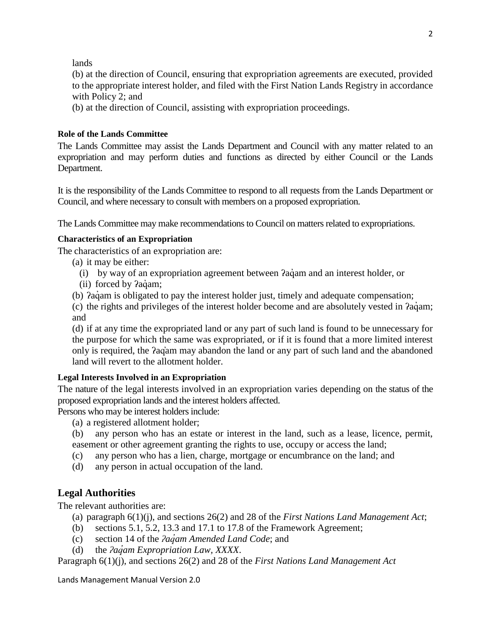lands

(b) at the direction of Council, ensuring that expropriation agreements are executed, provided to the appropriate interest holder, and filed with the First Nation Lands Registry in accordance with Policy 2; and

(b) at the direction of Council, assisting with expropriation proceedings.

## **Role of the Lands Committee**

The Lands Committee may assist the Lands Department and Council with any matter related to an expropriation and may perform duties and functions as directed by either Council or the Lands Department.

It is the responsibility of the Lands Committee to respond to all requests from the Lands Department or Council, and where necessary to consult with members on a proposed expropriation.

The Lands Committee may make recommendations to Council on matters related to expropriations.

## **Characteristics of an Expropriation**

The characteristics of an expropriation are:

- (a) it may be either:
	- (i) by way of an expropriation agreement between ʔaq̓ am and an interest holder, or
	- (ii) forced by *?agam*;
- (b)  $aq<sub>q</sub>$  and is obligated to pay the interest holder just, timely and adequate compensation;

(c) the rights and privileges of the interest holder become and are absolutely vested in  $2a\text{d}$ am; and

(d) if at any time the expropriated land or any part of such land is found to be unnecessary for the purpose for which the same was expropriated, or if it is found that a more limited interest only is required, the ʔaq̓am may abandon the land or any part of such land and the abandoned land will revert to the allotment holder.

## **Legal Interests Involved in an Expropriation**

The nature of the legal interests involved in an expropriation varies depending on the status of the proposed expropriation lands and the interest holders affected.

Persons who may be interest holders include:

- (a) a registered allotment holder;
- (b) any person who has an estate or interest in the land, such as a lease, licence, permit, easement or other agreement granting the rights to use, occupy or access the land;
- (c) any person who has a lien, charge, mortgage or encumbrance on the land; and
- (d) any person in actual occupation of the land.

# <span id="page-1-0"></span>**Legal Authorities**

The relevant authorities are:

- (a) paragraph 6(1)(j), and sections 26(2) and 28 of the *First Nations Land Management Act*;
- (b) sections 5.1, 5.2, 13.3 and 17.1 to 17.8 of the Framework Agreement;
- (c) section 14 of the *ʔaq̓am Amended Land Code*; and
- (d) the *ʔaq̓am Expropriation Law, XXXX*.

Paragraph 6(1)(j), and sections 26(2) and 28 of the *First Nations Land Management Act* 

Lands Management Manual Version 2.0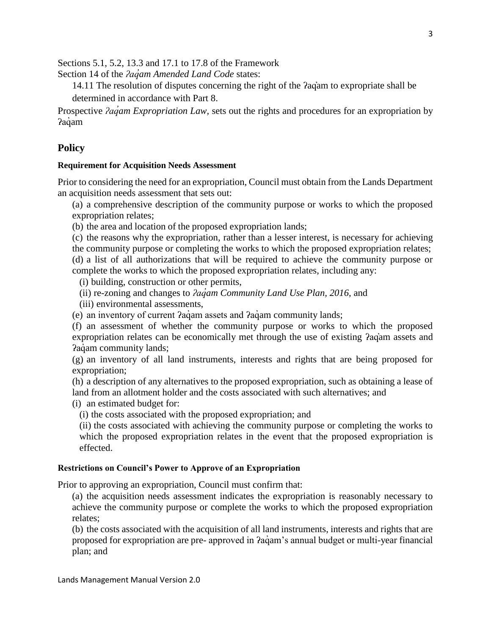Sections 5.1, 5.2, 13.3 and 17.1 to 17.8 of the Framework

Section 14 of the *ʔaq̓am Amended Land Code* states:

14.11 The resolution of disputes concerning the right of the ʔaq̓am to expropriate shall be determined in accordance with Part 8.

Prospective *<i>Pagam Expropriation Law*, sets out the rights and procedures for an expropriation by Pagam

## <span id="page-2-0"></span>**Policy**

## **Requirement for Acquisition Needs Assessment**

Prior to considering the need for an expropriation, Council must obtain from the Lands Department an acquisition needs assessment that sets out:

(a) a comprehensive description of the community purpose or works to which the proposed expropriation relates;

(b) the area and location of the proposed expropriation lands;

(c) the reasons why the expropriation, rather than a lesser interest, is necessary for achieving the community purpose or completing the works to which the proposed expropriation relates; (d) a list of all authorizations that will be required to achieve the community purpose or complete the works to which the proposed expropriation relates, including any:

(i) building, construction or other permits,

- (ii) re-zoning and changes to *ʔaq̓am Community Land Use Plan, 2016*, and
- (iii) environmental assessments,
- (e) an inventory of current ʔaq̓ am assets and ʔaq̓ am community lands;

(f) an assessment of whether the community purpose or works to which the proposed expropriation relates can be economically met through the use of existing ʔaq̓am assets and ?a $q$ am community lands;

(g) an inventory of all land instruments, interests and rights that are being proposed for expropriation;

(h) a description of any alternatives to the proposed expropriation, such as obtaining a lease of land from an allotment holder and the costs associated with such alternatives; and

(i) an estimated budget for:

(i) the costs associated with the proposed expropriation; and

(ii) the costs associated with achieving the community purpose or completing the works to which the proposed expropriation relates in the event that the proposed expropriation is effected.

### **Restrictions on Council's Power to Approve of an Expropriation**

Prior to approving an expropriation, Council must confirm that:

(a) the acquisition needs assessment indicates the expropriation is reasonably necessary to achieve the community purpose or complete the works to which the proposed expropriation relates;

(b) the costs associated with the acquisition of all land instruments, interests and rights that are proposed for expropriation are pre- approved in  $2a\gamma$  amual budget or multi-year financial plan; and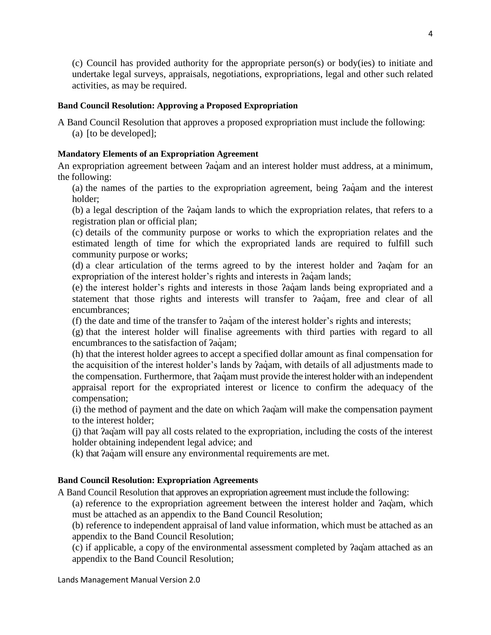(c) Council has provided authority for the appropriate person(s) or body(ies) to initiate and undertake legal surveys, appraisals, negotiations, expropriations, legal and other such related activities, as may be required.

## **Band Council Resolution: Approving a Proposed Expropriation**

A Band Council Resolution that approves a proposed expropriation must include the following: (a) [to be developed];

## **Mandatory Elements of an Expropriation Agreement**

An expropriation agreement between  $2a\dot{q}$ am and an interest holder must address, at a minimum, the following:

(a) the names of the parties to the expropriation agreement, being ʔaq̓ am and the interest holder;

(b) a legal description of the ʔaq̓ am lands to which the expropriation relates, that refers to a registration plan or official plan;

(c) details of the community purpose or works to which the expropriation relates and the estimated length of time for which the expropriated lands are required to fulfill such community purpose or works;

(d) a clear articulation of the terms agreed to by the interest holder and ʔaq̓am for an expropriation of the interest holder's rights and interests in *?aquam lands*;

(e) the interest holder's rights and interests in those ʔaq̓ am lands being expropriated and a statement that those rights and interests will transfer to  $2a\ddot{q}$ am, free and clear of all encumbrances;

(f) the date and time of the transfer to ʔaq̓ am of the interest holder's rights and interests;

(g) that the interest holder will finalise agreements with third parties with regard to all encumbrances to the satisfaction of  $2aqam$ ;

(h) that the interest holder agrees to accept a specified dollar amount as final compensation for the acquisition of the interest holder's lands by ʔaq̓ am, with details of all adjustments made to the compensation. Furthermore, that *Pagam* must provide the interest holder with an independent appraisal report for the expropriated interest or licence to confirm the adequacy of the compensation;

(i) the method of payment and the date on which ʔaq̓am will make the compensation payment to the interest holder;

(j) that ʔaq̓am will pay all costs related to the expropriation, including the costs of the interest holder obtaining independent legal advice; and

(k) that ʔaq̓ am will ensure any environmental requirements are met.

## **Band Council Resolution: Expropriation Agreements**

A Band Council Resolution that approves an expropriation agreement must include the following:

(a) reference to the expropriation agreement between the interest holder and ʔaq̓am, which must be attached as an appendix to the Band Council Resolution;

(b) reference to independent appraisal of land value information, which must be attached as an appendix to the Band Council Resolution;

(c) if applicable, a copy of the environmental assessment completed by ʔaq̓am attached as an appendix to the Band Council Resolution;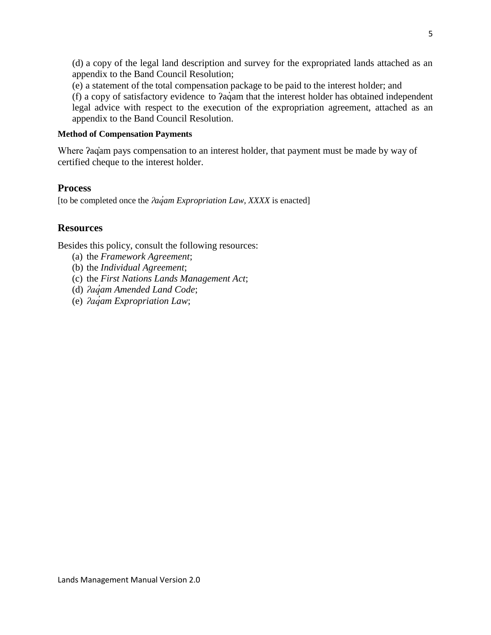(d) a copy of the legal land description and survey for the expropriated lands attached as an appendix to the Band Council Resolution;

(e) a statement of the total compensation package to be paid to the interest holder; and

(f) a copy of satisfactory evidence to ʔaq̓ am that the interest holder has obtained independent legal advice with respect to the execution of the expropriation agreement, attached as an appendix to the Band Council Resolution.

### **Method of Compensation Payments**

Where  $2aq<sub>am</sub>$  pays compensation to an interest holder, that payment must be made by way of certified cheque to the interest holder.

## <span id="page-4-0"></span>**Process**

<span id="page-4-1"></span>[to be completed once the *<i><i>agam Expropriation Law, XXXX* is enacted]

## **Resources**

Besides this policy, consult the following resources:

- (a) the *Framework Agreement*;
- (b) the *Individual Agreement*;
- (c) the *First Nations Lands Management Act*;
- (d) *ʔaq̓am Amended Land Code*;
- (e) *ʔaq̓am Expropriation Law*;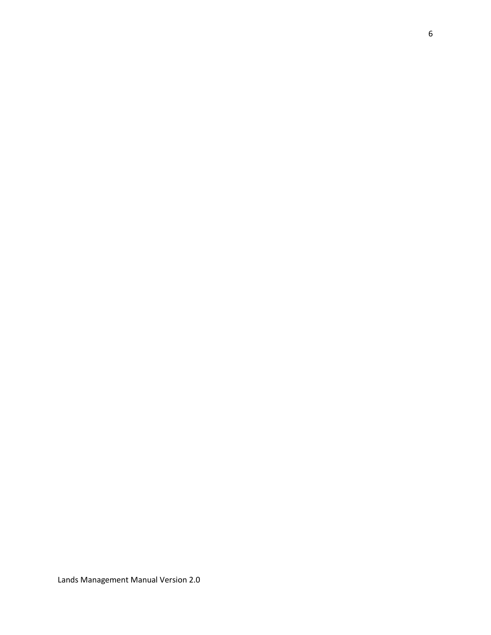Lands Management Manual Version 2.0